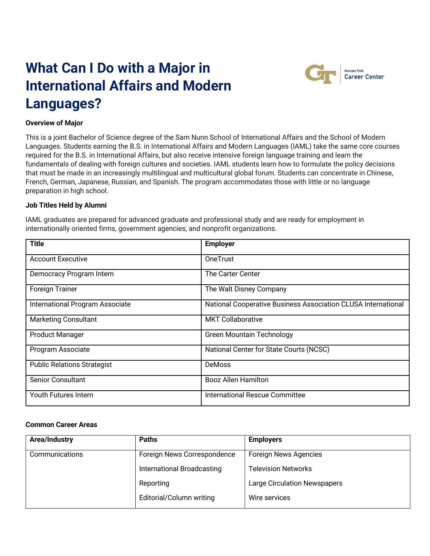# **What Can I Do with a Major in International Affairs and Modern Languages?**



Georgia Tech **Career Center** 

### **Overview of Major**

This is a joint Bachelor of Science degree of the Sam Nunn School of International Affairs and the School of Modern Languages. Students earning the B.S. in International Affairs and Modern Languages (IAML) take the same core courses required for the B.S. in International Affairs, but also receive intensive foreign language training and learn the fundamentals of dealing with foreign cultures and societies. IAML students learn how to formulate the policy decisions that must be made in an increasingly multilingual and multicultural global forum. Students can concentrate in Chinese, French, German, Japanese, Russian, and Spanish. The program accommodates those with little or no language preparation in high school.

# **Job Titles Held by Alumni**

IAML graduates are prepared for advanced graduate and professional study and are ready for employment in internationally oriented firms, government agencies, and nonprofit organizations.

| <b>Title</b>                       | <b>Employer</b>                                               |
|------------------------------------|---------------------------------------------------------------|
| <b>Account Executive</b>           | <b>OneTrust</b>                                               |
| Democracy Program Intern           | The Carter Center                                             |
| <b>Foreign Trainer</b>             | The Walt Disney Company                                       |
| International Program Associate    | National Cooperative Business Association CLUSA International |
| <b>Marketing Consultant</b>        | <b>MKT Collaborative</b>                                      |
| <b>Product Manager</b>             | <b>Green Mountain Technology</b>                              |
| Program Associate                  | National Center for State Courts (NCSC)                       |
| <b>Public Relations Strategist</b> | <b>DeMoss</b>                                                 |
| Senior Consultant                  | <b>Booz Allen Hamilton</b>                                    |
| Youth Futures Intern               | International Rescue Committee                                |

#### **Common Career Areas**

| Area/Industry  | <b>Paths</b>                | <b>Employers</b>                    |
|----------------|-----------------------------|-------------------------------------|
| Communications | Foreign News Correspondence | Foreign News Agencies               |
|                | International Broadcasting  | <b>Television Networks</b>          |
|                | Reporting                   | <b>Large Circulation Newspapers</b> |
|                | Editorial/Column writing    | Wire services                       |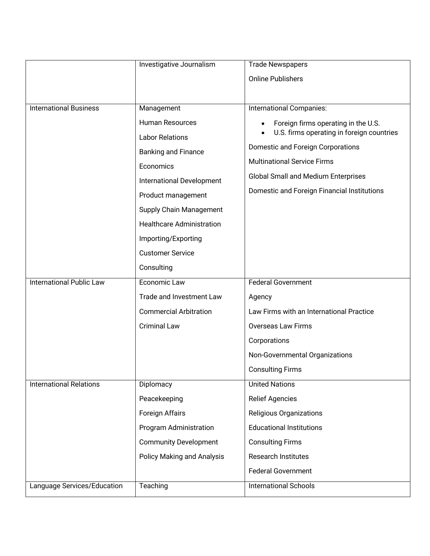|                                 | Investigative Journalism                                                                                                                                                  | <b>Trade Newspapers</b>                                                                                                                                                                                                                                  |
|---------------------------------|---------------------------------------------------------------------------------------------------------------------------------------------------------------------------|----------------------------------------------------------------------------------------------------------------------------------------------------------------------------------------------------------------------------------------------------------|
|                                 |                                                                                                                                                                           | <b>Online Publishers</b>                                                                                                                                                                                                                                 |
|                                 |                                                                                                                                                                           |                                                                                                                                                                                                                                                          |
| <b>International Business</b>   | Management                                                                                                                                                                | <b>International Companies:</b>                                                                                                                                                                                                                          |
|                                 | Human Resources<br><b>Labor Relations</b><br><b>Banking and Finance</b><br>Economics<br>International Development<br>Product management<br><b>Supply Chain Management</b> | Foreign firms operating in the U.S.<br>U.S. firms operating in foreign countries<br>Domestic and Foreign Corporations<br><b>Multinational Service Firms</b><br><b>Global Small and Medium Enterprises</b><br>Domestic and Foreign Financial Institutions |
|                                 | <b>Healthcare Administration</b>                                                                                                                                          |                                                                                                                                                                                                                                                          |
|                                 | Importing/Exporting                                                                                                                                                       |                                                                                                                                                                                                                                                          |
|                                 | <b>Customer Service</b>                                                                                                                                                   |                                                                                                                                                                                                                                                          |
|                                 | Consulting                                                                                                                                                                |                                                                                                                                                                                                                                                          |
| <b>International Public Law</b> | Economic Law                                                                                                                                                              | <b>Federal Government</b>                                                                                                                                                                                                                                |
|                                 | Trade and Investment Law                                                                                                                                                  | Agency                                                                                                                                                                                                                                                   |
|                                 | <b>Commercial Arbitration</b>                                                                                                                                             | Law Firms with an International Practice                                                                                                                                                                                                                 |
|                                 | <b>Criminal Law</b>                                                                                                                                                       | <b>Overseas Law Firms</b>                                                                                                                                                                                                                                |
|                                 |                                                                                                                                                                           | Corporations                                                                                                                                                                                                                                             |
|                                 |                                                                                                                                                                           | Non-Governmental Organizations                                                                                                                                                                                                                           |
|                                 |                                                                                                                                                                           | <b>Consulting Firms</b>                                                                                                                                                                                                                                  |
| <b>International Relations</b>  | Diplomacy                                                                                                                                                                 | <b>United Nations</b>                                                                                                                                                                                                                                    |
|                                 | Peacekeeping                                                                                                                                                              | <b>Relief Agencies</b>                                                                                                                                                                                                                                   |
|                                 | Foreign Affairs                                                                                                                                                           | <b>Religious Organizations</b>                                                                                                                                                                                                                           |
|                                 | Program Administration                                                                                                                                                    | <b>Educational Institutions</b>                                                                                                                                                                                                                          |
|                                 | <b>Community Development</b>                                                                                                                                              | <b>Consulting Firms</b>                                                                                                                                                                                                                                  |
|                                 | <b>Policy Making and Analysis</b>                                                                                                                                         | Research Institutes                                                                                                                                                                                                                                      |
|                                 |                                                                                                                                                                           | <b>Federal Government</b>                                                                                                                                                                                                                                |
| Language Services/Education     | Teaching                                                                                                                                                                  | <b>International Schools</b>                                                                                                                                                                                                                             |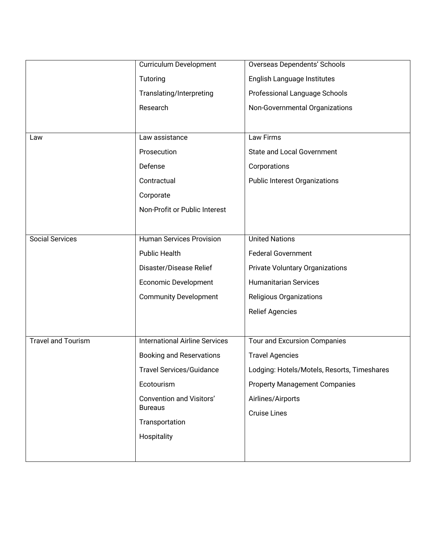|                           | <b>Curriculum Development</b>                     | <b>Overseas Dependents' Schools</b>         |
|---------------------------|---------------------------------------------------|---------------------------------------------|
|                           | Tutoring                                          | English Language Institutes                 |
|                           | Translating/Interpreting                          | Professional Language Schools               |
|                           | Research                                          | Non-Governmental Organizations              |
|                           |                                                   |                                             |
| Law                       | Law assistance                                    | Law Firms                                   |
|                           | Prosecution                                       | <b>State and Local Government</b>           |
|                           | Defense                                           | Corporations                                |
|                           | Contractual                                       | <b>Public Interest Organizations</b>        |
|                           | Corporate                                         |                                             |
|                           | Non-Profit or Public Interest                     |                                             |
|                           |                                                   |                                             |
| <b>Social Services</b>    | <b>Human Services Provision</b>                   | <b>United Nations</b>                       |
|                           | <b>Public Health</b>                              | <b>Federal Government</b>                   |
|                           | Disaster/Disease Relief                           | <b>Private Voluntary Organizations</b>      |
|                           | Economic Development                              | <b>Humanitarian Services</b>                |
|                           | <b>Community Development</b>                      | Religious Organizations                     |
|                           |                                                   | <b>Relief Agencies</b>                      |
|                           |                                                   |                                             |
| <b>Travel and Tourism</b> | <b>International Airline Services</b>             | Tour and Excursion Companies                |
|                           | <b>Booking and Reservations</b>                   | <b>Travel Agencies</b>                      |
|                           | <b>Travel Services/Guidance</b>                   | Lodging: Hotels/Motels, Resorts, Timeshares |
|                           | Ecotourism                                        | <b>Property Management Companies</b>        |
|                           | <b>Convention and Visitors'</b><br><b>Bureaus</b> | Airlines/Airports                           |
|                           |                                                   | <b>Cruise Lines</b>                         |
|                           | Transportation                                    |                                             |
|                           | Hospitality                                       |                                             |
|                           |                                                   |                                             |